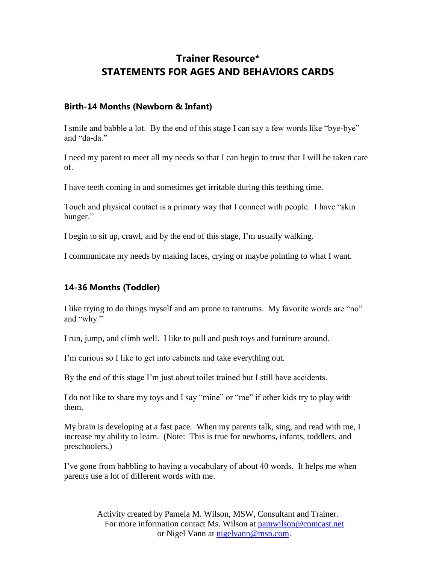# **Trainer Resource\* STATEMENTS FOR AGES AND BEHAVIORS CARDS**

#### **Birth-14 Months (Newborn & Infant)**

I smile and babble a lot. By the end of this stage I can say a few words like "bye-bye" and "da-da."

I need my parent to meet all my needs so that I can begin to trust that I will be taken care of.

I have teeth coming in and sometimes get irritable during this teething time.

Touch and physical contact is a primary way that I connect with people. I have "skin hunger."

I begin to sit up, crawl, and by the end of this stage, I'm usually walking.

I communicate my needs by making faces, crying or maybe pointing to what I want.

### **14-36 Months (Toddler)**

I like trying to do things myself and am prone to tantrums. My favorite words are "no" and "why."

I run, jump, and climb well. I like to pull and push toys and furniture around.

I'm curious so I like to get into cabinets and take everything out.

By the end of this stage I'm just about toilet trained but I still have accidents.

I do not like to share my toys and I say "mine" or "me" if other kids try to play with them.

My brain is developing at a fast pace. When my parents talk, sing, and read with me, I increase my ability to learn. (Note: This is true for newborns, infants, toddlers, and preschoolers.)

I've gone from babbling to having a vocabulary of about 40 words. It helps me when parents use a lot of different words with me.

> Activity created by Pamela M. Wilson, MSW, Consultant and Trainer. For more information contact Ms. Wilson at pamwilson@comcast.net or Nigel Vann at nigelvann@msn.com.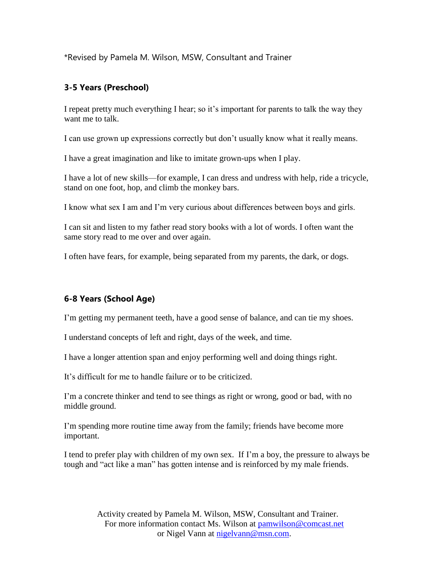\*Revised by Pamela M. Wilson, MSW, Consultant and Trainer

## **3-5 Years (Preschool)**

I repeat pretty much everything I hear; so it's important for parents to talk the way they want me to talk.

I can use grown up expressions correctly but don't usually know what it really means.

I have a great imagination and like to imitate grown-ups when I play.

I have a lot of new skills—for example, I can dress and undress with help, ride a tricycle, stand on one foot, hop, and climb the monkey bars.

I know what sex I am and I'm very curious about differences between boys and girls.

I can sit and listen to my father read story books with a lot of words. I often want the same story read to me over and over again.

I often have fears, for example, being separated from my parents, the dark, or dogs.

## **6-8 Years (School Age)**

I'm getting my permanent teeth, have a good sense of balance, and can tie my shoes.

I understand concepts of left and right, days of the week, and time.

I have a longer attention span and enjoy performing well and doing things right.

It's difficult for me to handle failure or to be criticized.

I'm a concrete thinker and tend to see things as right or wrong, good or bad, with no middle ground.

I'm spending more routine time away from the family; friends have become more important.

I tend to prefer play with children of my own sex. If I'm a boy, the pressure to always be tough and "act like a man" has gotten intense and is reinforced by my male friends.

> Activity created by Pamela M. Wilson, MSW, Consultant and Trainer. For more information contact Ms. Wilson at pamwilson@comcast.net or Nigel Vann at nigelvann@msn.com.